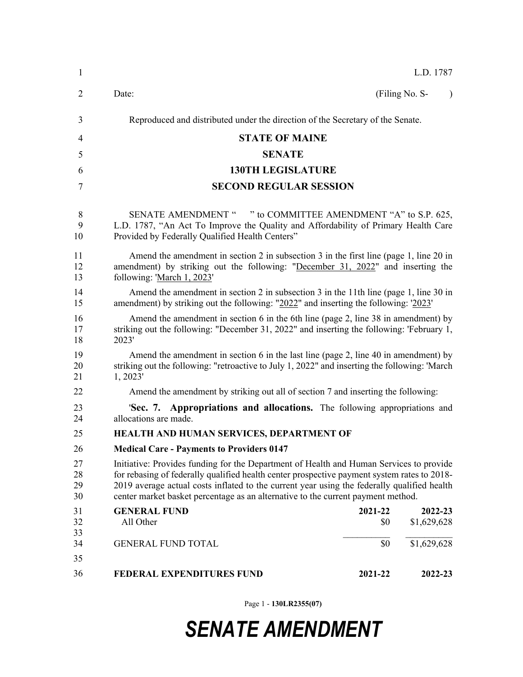| $\mathbf{1}$         | L.D. 1787                                                                                                                                                                                                                                                                                                                                                                 |                |                        |           |  |
|----------------------|---------------------------------------------------------------------------------------------------------------------------------------------------------------------------------------------------------------------------------------------------------------------------------------------------------------------------------------------------------------------------|----------------|------------------------|-----------|--|
| 2                    | Date:                                                                                                                                                                                                                                                                                                                                                                     |                | (Filing No. S-         | $\lambda$ |  |
| 3                    | Reproduced and distributed under the direction of the Secretary of the Senate.                                                                                                                                                                                                                                                                                            |                |                        |           |  |
| 4                    | <b>STATE OF MAINE</b>                                                                                                                                                                                                                                                                                                                                                     |                |                        |           |  |
| 5                    | <b>SENATE</b>                                                                                                                                                                                                                                                                                                                                                             |                |                        |           |  |
| 6                    | <b>130TH LEGISLATURE</b>                                                                                                                                                                                                                                                                                                                                                  |                |                        |           |  |
| 7                    | <b>SECOND REGULAR SESSION</b>                                                                                                                                                                                                                                                                                                                                             |                |                        |           |  |
| 8<br>9<br>10         | SENATE AMENDMENT " " to COMMITTEE AMENDMENT "A" to S.P. 625,<br>L.D. 1787, "An Act To Improve the Quality and Affordability of Primary Health Care<br>Provided by Federally Qualified Health Centers"                                                                                                                                                                     |                |                        |           |  |
| 11<br>12<br>13       | Amend the amendment in section 2 in subsection 3 in the first line (page 1, line 20 in<br>amendment) by striking out the following: "December 31, 2022" and inserting the<br>following: 'March 1, 2023'                                                                                                                                                                   |                |                        |           |  |
| 14<br>15             | Amend the amendment in section 2 in subsection 3 in the 11th line (page 1, line 30 in<br>amendment) by striking out the following: "2022" and inserting the following: '2023'                                                                                                                                                                                             |                |                        |           |  |
| 16<br>17<br>18       | Amend the amendment in section 6 in the 6th line (page 2, line 38 in amendment) by<br>striking out the following: "December 31, 2022" and inserting the following: 'February 1,<br>2023'                                                                                                                                                                                  |                |                        |           |  |
| 19<br>20<br>21       | Amend the amendment in section 6 in the last line (page 2, line 40 in amendment) by<br>striking out the following: "retroactive to July 1, 2022" and inserting the following: 'March<br>1, 2023'                                                                                                                                                                          |                |                        |           |  |
| 22                   | Amend the amendment by striking out all of section 7 and inserting the following:                                                                                                                                                                                                                                                                                         |                |                        |           |  |
| 23<br>24             | 'Sec. 7. Appropriations and allocations. The following appropriations and<br>allocations are made.                                                                                                                                                                                                                                                                        |                |                        |           |  |
| 25                   | HEALTH AND HUMAN SERVICES, DEPARTMENT OF                                                                                                                                                                                                                                                                                                                                  |                |                        |           |  |
| 26                   | <b>Medical Care - Payments to Providers 0147</b>                                                                                                                                                                                                                                                                                                                          |                |                        |           |  |
| 27<br>28<br>29<br>30 | Initiative: Provides funding for the Department of Health and Human Services to provide<br>for rebasing of federally qualified health center prospective payment system rates to 2018-<br>2019 average actual costs inflated to the current year using the federally qualified health<br>center market basket percentage as an alternative to the current payment method. |                |                        |           |  |
| 31<br>32<br>33       | <b>GENERAL FUND</b><br>All Other                                                                                                                                                                                                                                                                                                                                          | 2021-22<br>\$0 | 2022-23<br>\$1,629,628 |           |  |
| 34<br>35             | <b>GENERAL FUND TOTAL</b>                                                                                                                                                                                                                                                                                                                                                 | \$0            | \$1,629,628            |           |  |
| 36                   | <b>FEDERAL EXPENDITURES FUND</b>                                                                                                                                                                                                                                                                                                                                          | 2021-22        | 2022-23                |           |  |
|                      |                                                                                                                                                                                                                                                                                                                                                                           |                |                        |           |  |

Page 1 - **130LR2355(07)**

## *SENATE AMENDMENT*